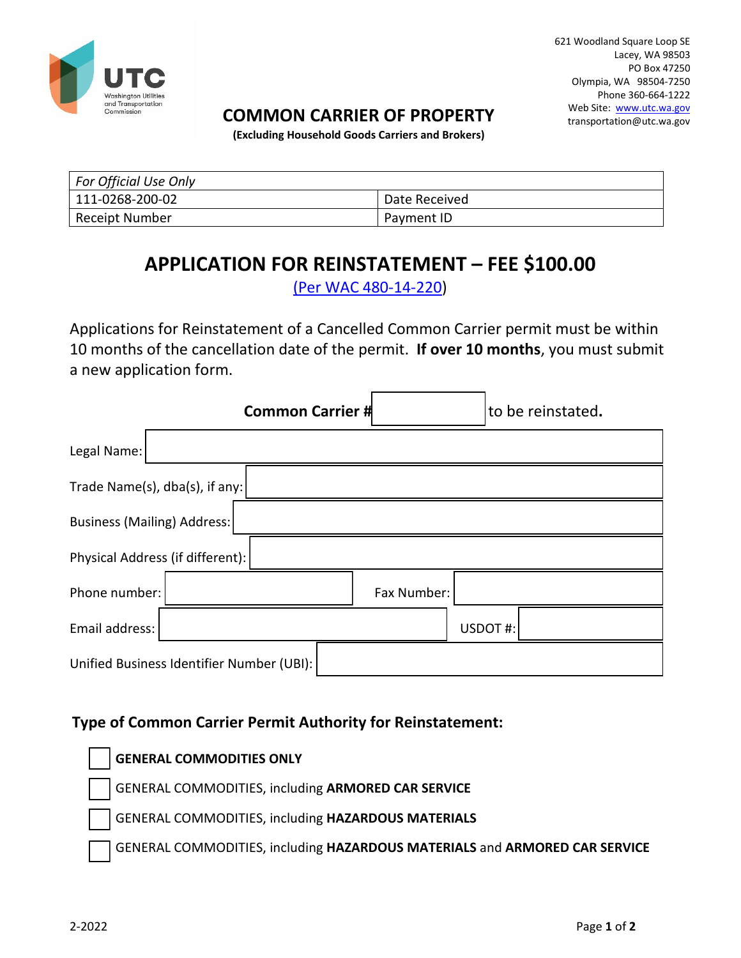

### **COMMON CARRIER OF PROPERTY**

621 Woodland Square Loop SE Lacey, WA 98503 PO Box 47250 Olympia, WA 98504-7250 Phone 360-664-1222 Web Site: [www.utc.wa.gov](http://www.utc.wa.gov/) transportation@utc.wa.gov

**(Excluding Household Goods Carriers and Brokers)** 

| For Official Use Only |                 |
|-----------------------|-----------------|
| 111-0268-200-02       | l Date Received |
| Receipt Number        | Pavment ID      |

# **APPLICATION FOR REINSTATEMENT – FEE \$100.00**

[\(Per WAC 480-14-220\)](http://apps.leg.wa.gov/wac/default.aspx?cite=480-14-220)

Applications for Reinstatement of a Cancelled Common Carrier permit must be within 10 months of the cancellation date of the permit. **If over 10 months**, you must submit a new application form.

|                                           |  | <b>Common Carrier #</b> |  |             |         | to be reinstated. |  |
|-------------------------------------------|--|-------------------------|--|-------------|---------|-------------------|--|
| Legal Name:                               |  |                         |  |             |         |                   |  |
| Trade Name(s), $dba(s)$ , if any:         |  |                         |  |             |         |                   |  |
| Business (Mailing) Address:               |  |                         |  |             |         |                   |  |
| Physical Address (if different):          |  |                         |  |             |         |                   |  |
| Phone number:                             |  |                         |  | Fax Number: |         |                   |  |
| Email address:                            |  |                         |  |             | USDOT#: |                   |  |
| Unified Business Identifier Number (UBI): |  |                         |  |             |         |                   |  |

### **Type of Common Carrier Permit Authority for Reinstatement:**

**GENERAL COMMODITIES ONLY**

GENERAL COMMODITIES, including **ARMORED CAR SERVICE**

GENERAL COMMODITIES, including **HAZARDOUS MATERIALS**

GENERAL COMMODITIES, including **HAZARDOUS MATERIALS** and **ARMORED CAR SERVICE**